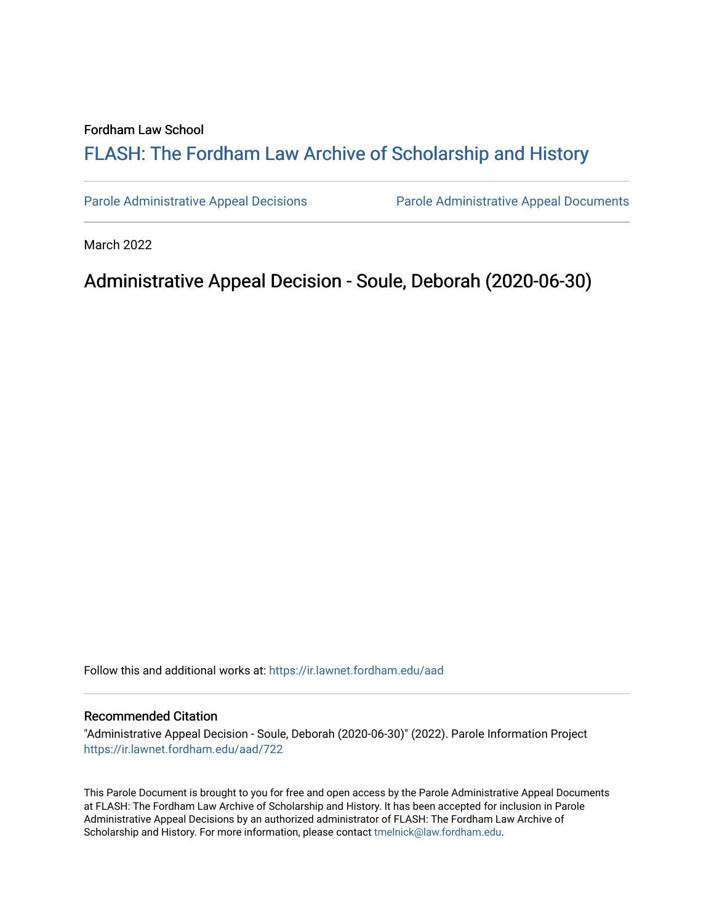#### Fordham Law School

# FLASH: The For[dham Law Archive of Scholarship and Hist](https://ir.lawnet.fordham.edu/)ory

[Parole Administrative Appeal Decisions](https://ir.lawnet.fordham.edu/aad) [Parole Administrative Appeal Documents](https://ir.lawnet.fordham.edu/ad_app_docs) 

March 2022

# Administrative Appeal Decision - Soule, Deborah (2020-06-30)

Follow this and additional works at: [https://ir.lawnet.fordham.edu/aad](https://ir.lawnet.fordham.edu/aad?utm_source=ir.lawnet.fordham.edu%2Faad%2F722&utm_medium=PDF&utm_campaign=PDFCoverPages) 

#### Recommended Citation

"Administrative Appeal Decision - Soule, Deborah (2020-06-30)" (2022). Parole Information Project [https://ir.lawnet.fordham.edu/aad/722](https://ir.lawnet.fordham.edu/aad/722?utm_source=ir.lawnet.fordham.edu%2Faad%2F722&utm_medium=PDF&utm_campaign=PDFCoverPages) 

This Parole Document is brought to you for free and open access by the Parole Administrative Appeal Documents at FLASH: The Fordham Law Archive of Scholarship and History. It has been accepted for inclusion in Parole Administrative Appeal Decisions by an authorized administrator of FLASH: The Fordham Law Archive of Scholarship and History. For more information, please contact [tmelnick@law.fordham.edu](mailto:tmelnick@law.fordham.edu).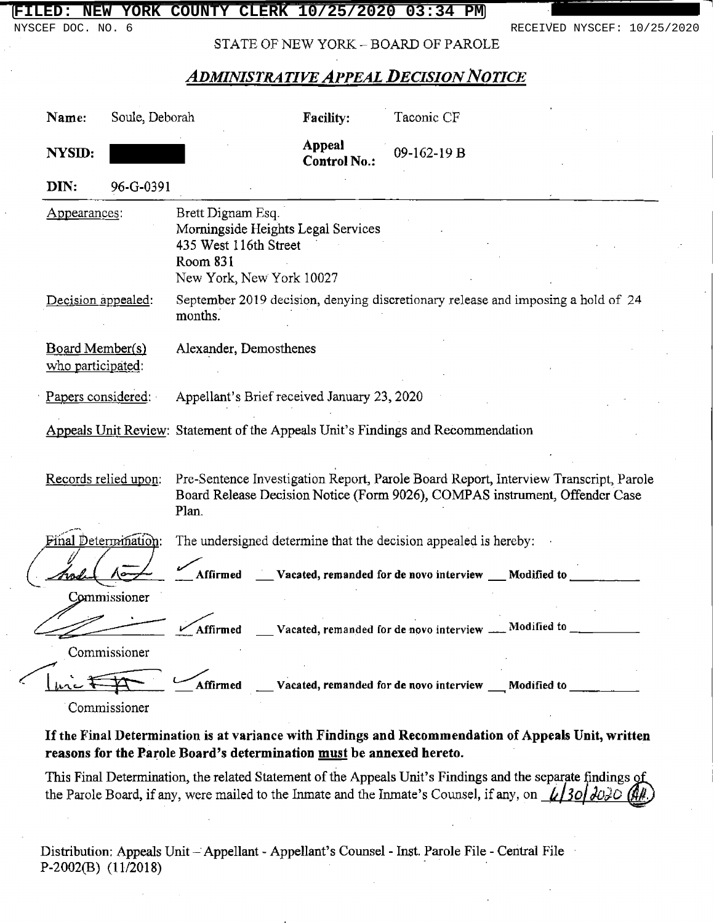NYSCEF DOC. NO. 6 RECEIVED NYSCEF: 10/25/2020

STATE OF NEW YORK - BOARD OF PAROLE

# **ADMINISTRATIVE APPEAL DECISION NOTICE**

| Name:                                | Soule, Deborah               |                                                                                                                          | <b>Facility:</b>                     | Taconic CF                                                      |                                                                                                                                                                     |
|--------------------------------------|------------------------------|--------------------------------------------------------------------------------------------------------------------------|--------------------------------------|-----------------------------------------------------------------|---------------------------------------------------------------------------------------------------------------------------------------------------------------------|
| NYSID:                               |                              |                                                                                                                          | <b>Appeal</b><br><b>Control No.:</b> | 09-162-19 B                                                     |                                                                                                                                                                     |
| DIN:                                 | 96-G-0391                    |                                                                                                                          |                                      |                                                                 |                                                                                                                                                                     |
| Appearances:                         |                              | Brett Dignam Esq.<br>Morningside Heights Legal Services<br>435 West 116th Street<br>Room 831<br>New York, New York 10027 |                                      |                                                                 |                                                                                                                                                                     |
| Decision appealed:                   |                              | months.                                                                                                                  |                                      |                                                                 | September 2019 decision, denying discretionary release and imposing a hold of 24                                                                                    |
| Board Member(s)<br>who participated: |                              | Alexander, Demosthenes                                                                                                   |                                      |                                                                 |                                                                                                                                                                     |
| Papers considered.                   |                              | Appellant's Brief received January 23, 2020                                                                              |                                      |                                                                 |                                                                                                                                                                     |
|                                      |                              | Appeals Unit Review: Statement of the Appeals Unit's Findings and Recommendation                                         |                                      |                                                                 |                                                                                                                                                                     |
|                                      | Records relied upon:         | Plan.                                                                                                                    |                                      |                                                                 | Pre-Sentence Investigation Report, Parole Board Report, Interview Transcript, Parole<br>Board Release Decision Notice (Form 9026), COMPAS instrument, Offender Case |
|                                      | Final Determination:         |                                                                                                                          |                                      | The undersigned determine that the decision appealed is hereby: |                                                                                                                                                                     |
|                                      |                              | Affirmed                                                                                                                 |                                      | Vacated, remanded for de novo interview __ Modified to          |                                                                                                                                                                     |
|                                      | Commissioner<br>Commissioner | Affirmed                                                                                                                 |                                      | Vacated, remanded for de novo interview _                       | Modified to                                                                                                                                                         |
|                                      | Commissioner                 | Affirmed                                                                                                                 |                                      | Vacated, remanded for de novo interview Modified to             |                                                                                                                                                                     |

## If the Final Determination is at variance with Findings and Recommendation of Appeals Unit, written reasons for the Parole Board's determination must be annexed hereto.

This Final Determination, the related Statement of the Appeals Unit's Findings and the separate findings of the Parole Board, if any, were mailed to the Inmate and the Inmate's Counsel, if any, on  $\angle$  30  $\frac{\partial}{\partial \theta}$ 

Distribution: Appeals Unit – Appellant - Appellant's Counsel - Inst. Parole File - Central Fil P-2002(B) (11/2018)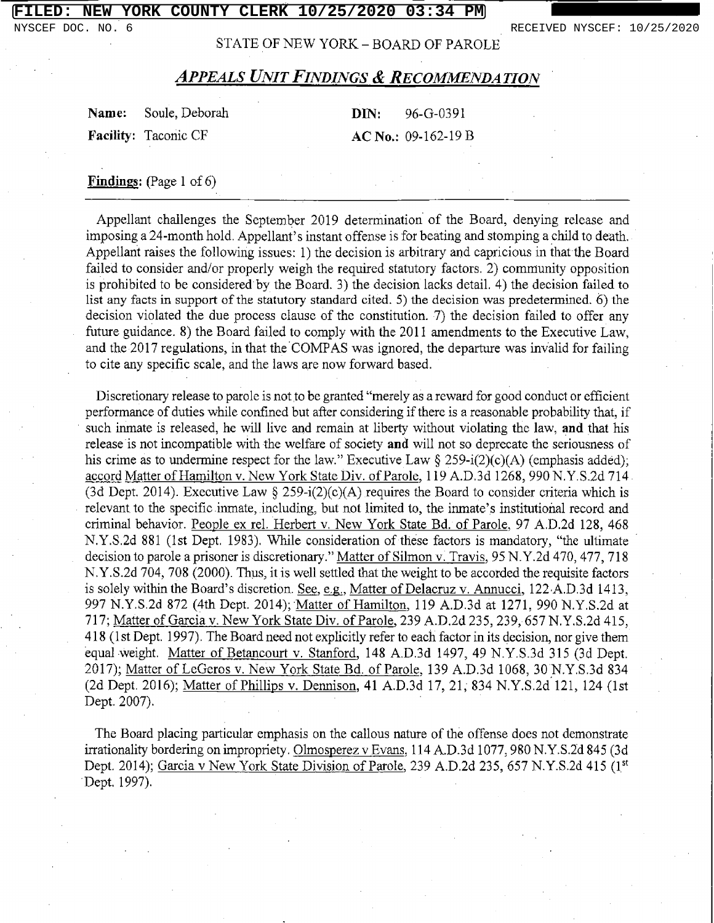NYSCEF DOC. NO. 6 RECEIVED NYSCEF: 10/25/2020

STATE OF NEW YORK - BOARD OF PAROLE

| <b>Name:</b> Soule, Deborah | <b>DIN:</b> $96 - G - 0391$ |
|-----------------------------|-----------------------------|
| <b>Facility:</b> Taconic CF | $AC No.: 09-162-19 B$       |

#### Findings: (Page 1 of 6)

Appellant challenges the September 2019 determination of the Board, denying release and imposing a 24-month hold. Appellant's instant offense is for beating and stomping a child to death. Appellant raises the following issues: 1) the decision is arbitrary and capricious in that the Board failed to consider and/or properly weigh the required statutory factors. 2) community opposition is prohibited to be considered by the Board. 3) the decision lacks detail. 4) the decision failed to list any facts in support of the statutory standard cited. 5) the decision was predetermined. 6) the decision violated the due process clause of the constitution. 7) the decision failed to offer any future guidance. 8) the Board failed to comply with the 2011 amendments to the Executive Law, and the 2017 regulations, in that the COMPAS was ignored, the departure was invalid for failing to cite any specific scale, and the laws are now forward based.

Discretionary release to parole is not to be granted "merely as a reward for good conduct or efficient performance of duties while confined but after considering if there is a reasonable probability that, if such inmate is released, he will live and remain at liberty without violating the law, and that his release is not incompatible with the welfare of society and will not so deprecate the seriousness of his crime as to undermine respect for the law." Executive Law  $\S 259-i(2)(c)(A)$  (emphasis added) accord Matter of Hamilton v. New York State Div. of Parole. 119 A.D.3d 1268, 990 N.Y.S.2d 714 (3d Dept. 2014). Executive Law § 259-i(2)(c)(A) requires the Board to consider criteria which is relevant to the specific inmate, including, but not limited to, the inmate's institutional record and criminal behavior. People ex rel. Herbert v. New York State Bd. of Parole, 97 A.D.2d 128, 468 N.Y.S.2d 881 (1st Dept. 1983). While consideration of these factors is mandatory, "the ultimate decision to parole a prisoner is discretionary." Matter of Silmon v. Travis, 95 N.Y.2d 470, 477, 71 N.Y.S.2d 704, 708 (2000). Thus, it is well settled that the weight to be accorded the requisite factors is solely within the Board's discretion. See, e.g., Matter of Delacruz v. Annucci, 122.A.D.3d 1413, 997 N.Y.S.2d 872 (4th Dept. 2014); Matter of Hamilton, 119 A.D.3d at 1271, 990 N.Y.S.2d at 717; Matter of Garcia v. New York State Div. of Parole, <sup>239</sup> A.D.2d 235, 239, 657 N.Y.S.2d 415, 418 (1st Dept. 1997). The Board need not explicitly refer to each factor in its decision, nor give them equal Weight. Matter of Betancourt v. Stanford, 148 A.D.3d 1497, 49 N.Y.S.3d 315 (3d Dept. 2017); Matter of LeGeros v. New York State Bd. of Parole, 139 A.D.3d 1068, 30 N.Y.S.3d 834 (2d Dept. 2016); Matter of Phillips v. Dennison, 41 A.D.3d 17, 21, 834 N.Y.S.2d 121, 124 (1st Dept. 2007).

The Board placing particular emphasis on the callous nature of the offense does not demonstrate irrationality bordering on impropriety. Olmosperez v Evans, 114 A.D.3d 1077, 980 N.Y.S.2d 845 (3d Dept. 2014); Garcia v New York State Division of Parole, 239 A.D.2d 235, 657 N.Y.S.2d 415 (1<sup>st</sup>) Dept. 1997).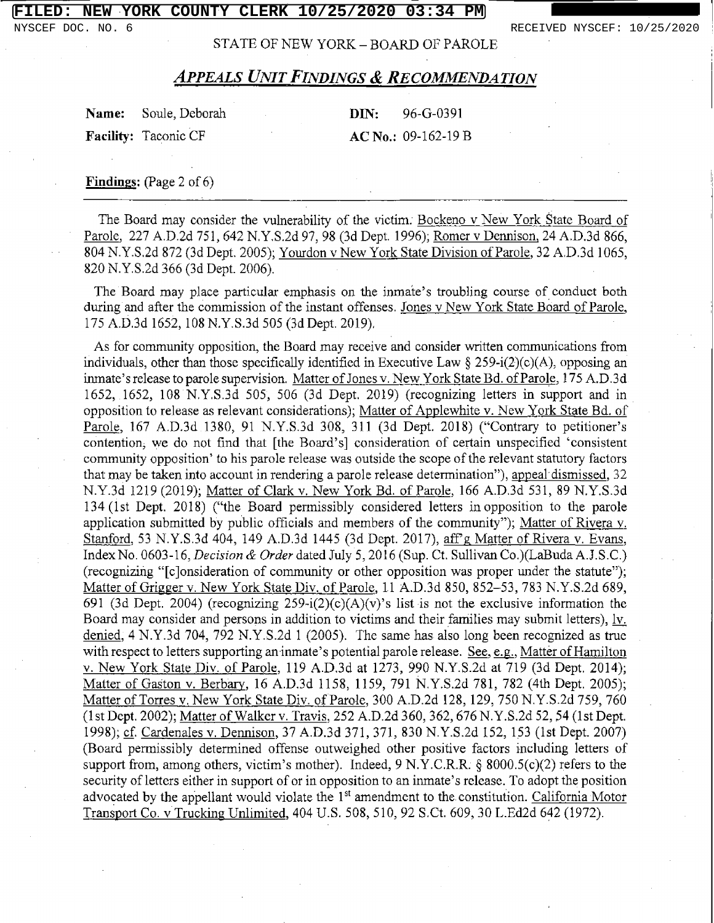STATE OF NEW YORK - BOARD OF PAROLE

# APPEALS UNIT FINDINGS & RECOMMENDATION

| <b>Name:</b> Soule, Deborah |  | $DIN: 96-G-0391$      |
|-----------------------------|--|-----------------------|
| <b>Facility:</b> Taconic CF |  | $AC No.: 09-162-19 B$ |

Findings: (Page 2 of 6)

The Board may consider the vulnerability of the victim. Bockeno v New York State Board of Parole, 227 A.D.2d 751, 642 N.Y.S.2d 97, 98 (3d Dept. 1996); Romer v Dennison, 24 A.D.3d 866, 804 N.Y.S.2d 872 (3d Dept. 2005); Yourdon v New York State Division of Parole, 32 A.D.3d 1065, 820 N.Y.S.2d 366 (3d Dept. 2006).

The Board may place particular emphasis on the inmate's troubling course of conduct both during and after the commission of the instant offenses. Jones <sup>v</sup> New York State Board of Parole, 175 A.D.3d 1652, 108 N.Y.S.3d 505 (3d Dept. 2019),

As for community opposition, the Board may receive and consider written communications from individuals, other than those specifically identified in Executive Law  $\S 259-i(2)(c)(A)$ , opposing an inmate's release to parole supervision. Matter of Jones v. New York State Bd. of Parole, 175 A.D.3d 1652, 1652, 108 N.Y.S.3d 505, 506 (3d Dept. 2019) (recognizing letters in support and in opposition to release as relevant considerations); Matter of Applewhite v. New York State Bd. of Parole, 167 A.D.3d 1380, 91 N.Y.S.3d 308, 311 (3d Dept. 2018) ("Contrary to petitioner's contention, we do not find that [the Board's] consideration of certain unspecified 'consistent community opposition' to his parole release was outside the scope of the relevant statutory facto that may be taken into account in rendering a parole release determination"), appeal dismissed, 32 N.Y.3d 1219 (2019); Matter of Clark v. New York Bd. of Parole, 166 A.D.3d 531, 89 N.Y.S.3d <sup>134</sup> (1st Dept. 2018) ("the Board permissibly considered letters in opposition to the parole application submitted by public officials and members of the community"); Matter of Rivera v. Stanford, 53 N.Y.S.3d 404, 149 A.D.3d 1445 (3d Dept. 2017), aff'g Matter of Rivera v. Evans, Index No. 0603-16, Decision & Order dated July 5, <sup>2016</sup> (Sup. Ct. Sullivan Co.)(LaBuda A.J.S.C.) (recogniziñg "[c]onsideration of community or other opposition was proper under the statute"); Matter of Grigger v. New York State Div. of Parole, 11 A.D.3d 850, 852-53, 783 N.Y.S.2d 689, 691 (3d Dept. 2004) (recognizing  $259-i(2)(c)(A)(v)$ 's list is not the exclusive information the Board may consider and persons in addition to victims and their families may submit letters), ly. denied, 4 N.Y.3d 704, 792 N.Y.S.2d 1 (2005). The same has also long been recognized as true with respect to letters supporting an inmate's potential parole release. See, e.g., Matter of Hamilton v. New York State Div. of Parole, 119 A.D.3d at 1273, 990 N.Y.S.2d at 719 (3d Dept. 2014); Matter of Gaston v. Berbarv. 16 A.D.3d 1158, 1159, 791 N.Y.S.2d 781, 782 (4th Dept. 2005); Matter of Torres v. New York State Div. of Parole, 300 A.D.2d 128, 129, 750 N.Y.S.2d 759, 760 (1st Dept. 2002); Matter of Walker v. Travis, 252 A.D.2d 360, 362, 676 N.Y.S.2d 52, 54 (1st Dept. 1998); cf. Cardenales v. Dennison, 37 A.D.3d 371, 371, 830 N.Y.S.2d 152, 153 (1st Dept. 2007) (Board permissibly determined offense outweighed other positive factors including letters of support from, among others, victim's mother). Indeed, 9 N.Y.C.R.R. § 8000.5(c)(2) refers to the security of letters either in support of or in opposition to an inmate's release. To adopt the position advocated by the appellant would violate the 1<sup>st</sup> amendment to the constitution. California Motor Transoort Co. v Trucking Unlimited, 404 U.S. 508, 510, 92 S.Ct. 609, 30 L.Ed2d 642 (1972).

NYSCEF DOC. NO. 6 **RECEIVED NYSCEF: 10/25/2020**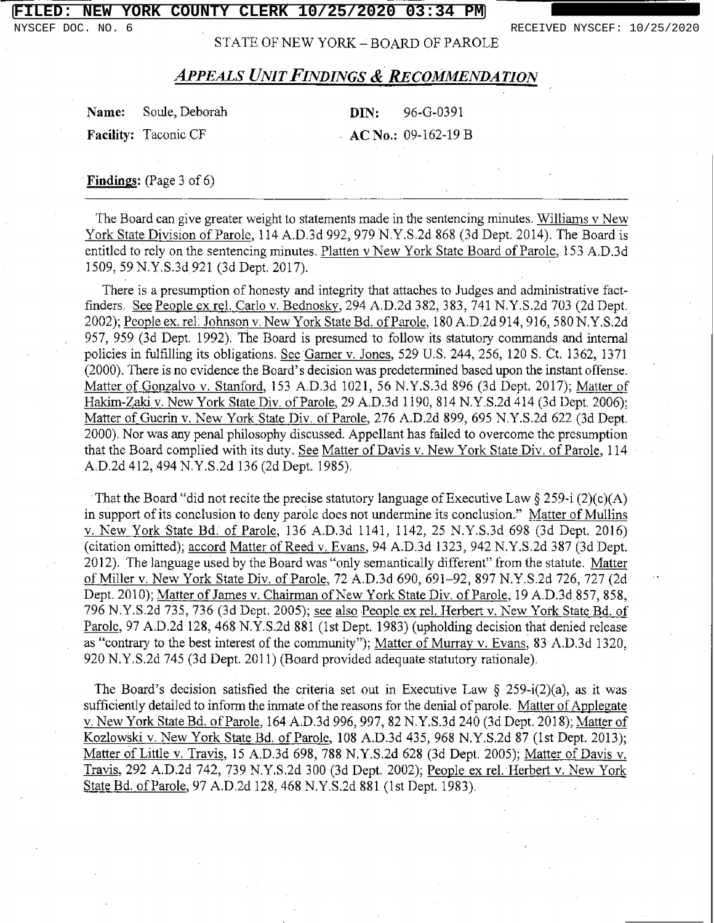STATE OF NEW YORK - BOARD OF PAROLE

## APPEALS UNIT FINDINGS & RECOMMENDATION

| Name: Soule, Deborah        |  |  | <b>DIN:</b> 96-G-0391 |
|-----------------------------|--|--|-----------------------|
| <b>Facility:</b> Taconic CF |  |  | $AC$ No.: 09-162-19 B |

Findings: (Page 3 of 6).

The Board can give greater weight to statements made in the sentencing minutes. Williams v New York State Division of Parole, 114 A.D.3d 992, 979 N.Y.S.2d 868 (3d Dept. 2014). The Board is entitled to rely on the sentencing minutes. Platten <sup>v</sup> New York State Board of Parole. <sup>153</sup> A.D.3d 1509, 59 N.Y.S.3d 921 (3d Dept. 2017).

There is a presumption of honesty and integrity that attaches to Judges and administrative factfinders. See People ex rel. Carlo v. Bednosky, 294 A.D.2d 382, 383, 741 N.Y.S.2d 703 (2d Dept. 2002); People ex. rel. Johnson v. New York State Bd. of Parole, 180 A.D.2d 914, 916, 580 N.Y.S.2d 957, 959 (3d Dept. 1992). The Board is presumed to follow its statutory commands and internal policies in fulfilling its obligations. See Garner v. Jones. 529 U.S. 244, 256, 120 S. Ct. 1362, 1371 (2000). There is no evidence the Board's decision was predetermined based upon the instant offense. Matter of Gonzalvo v. Stanford, 153 A.D.3d 1021, 56 N.Y.S.3d 896 (3d Dept. 2017); Matter of Hakim-Zaki v. New York State Div. of Parole, 29 A.D.3d 1190, 814 N.Y.S.2d 414 (3d Dept. 2006); Matter of Guerin v. New York State Div. of Parole, 276 A.D.2d 899, 695 N.Y.S.2d 622 (3d Dept. 2000). Nor was any penal philosophy discussed. Appellant has failed to overcome the presumption that the Board complied with its duty. See Matter of Davis v. New York State Div. of Parole, 114 A.D.2d 412, 494 N.Y.S.2d 136 (2d Dept. 1985).

That the Board "did not recite the precise statutory language of Executive Law  $\S 259-1$  (2)(c) in support of its conclusion to deny parole does not undermine its conclusion." Matter of Mull v. New York State Bd. of Parole, 136 A.D.3d 1141, 1142, <sup>25</sup> N.Y.S.3d <sup>698</sup> (3d Dept. 2016) (citation omitted); accord Matter of Reed v. Evans, 94 A.D.3d 1323, 942 N.Y.S.2d 387 (3d Dept. 2012). The language used by the Board was "only semantically different" from the statute. Mat of Miller v. New York State Div. of Parole, 72 A.D.3d 690, 691-92, 897 N.Y.S.2d 726, 727 (2d Dept. 2010); Matter of James v. Chairman of New York State Div. of Parole, <sup>19</sup> A.D.3d.857, 858, 796 N.Y.S.2d 735, 736 (3d Dept. 2005); see also People ex rel. Herbert v. New York State Bd. of Parole, 97 A.D.2d 128, 468 N.Y.S.2d 881 (1st Dept. 1983) (upholding decision that denied release as "contrary to the best interest of the community"); Matter of Murray v. Evans, 83 A.D.3d 1320, 920 N.Y.S.2d 745 (3d Dept. 2011) (Board provided adequate statutory rationale).

The Board's decision satisfied the criteria set out in Executive Law  $\S$  259-i(2)(a), as it was sufficiently detailed to inform the inmate of the reasons for the denial of parole. Matter of Applegate v. New York State Bd. of Parole, 164 A.D.3d 996, 997, 82 N.Y.S.3d 240 (3d Dept. 2018); Matter of Kozlowski v. New York State Bd. of Parole, 108 A.D.3d 435, 968 N.Y.S.2d 87 (1st Dept. 2013); Matter of Little v. Travis, 15 A.D.3d 698, 788 N.Y.S.2d 628 (3d Dept. 2005); Matter of Davis v. Travis, 292 A.D.2d 742, 739 N.Y.S.2d 300 (3d Dept. 2002); People ex rel. Herbert v. New York State Bd. of Parole, 97 A.D.2d 128, 468 N.Y.S.2d 881 (1st Dept. 1983).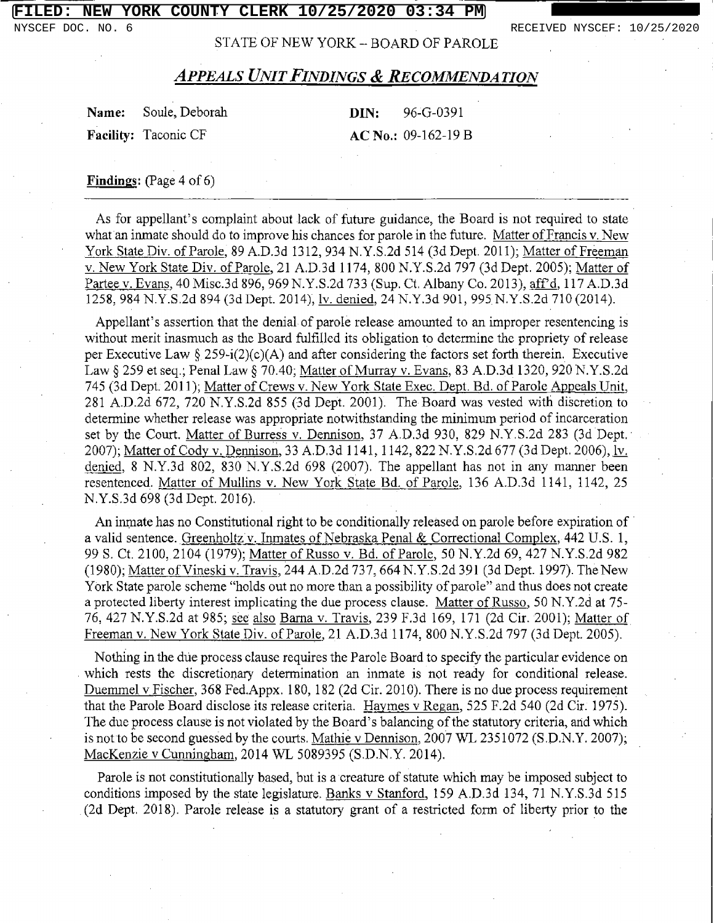NYSCEF DOC. NO. 6 RECEIVED NYSCEF: 10/25/2020

STATE OF NEW YORK - BOARD OF PAROLE

| Name: Soule, Deborah        | <b>DIN:</b> $96 - G - 0391$ |
|-----------------------------|-----------------------------|
| <b>Facility:</b> Taconic CF | $AC No.: 09-162-19 B$       |

### Findings: (Page 4 of 6)

As for appellant's complaint about lack of future guidance, the Board is not required to state what an inmate should do to improve his chances for parole in the future. Matter of Francis v. New York State Div. of Parole, 89 A.D.3d 1312, 934 N.Y.S.2d 514 (3d Dept. 2011); Matter of Freeman v. New York State Div. of Parole, 21 A.D.3d 1174, 800 N.Y.S.2d 797 (3d Dept. 2005); Matter of Partee v. Evans, 40 Misc.3d 896, 969 N.Y.S.2d 733 (Sup. Ct. Albany Co. 2013), aff'd, 117 A.D.3d 1258, 984 N.Y.S.2d 894 (3d Dept. 2014), ly. denied, 24 N.Y.3d 901, 995 N.Y.S.2d 710 (2014).

Appellant's assertion that the denial of parole release amounted to an improper resentencing is without merit inasmuch as the Board fulfilled its obligation to determine the propriety of release per Executive Law § 259-i(2)(c)(A) and after considering the factors set forth therein. Executive Law  $\S 259$  et seq.; Penal Law  $\S 70.40$ ; <u>Matter of Murray v. Evans</u>, 83 A.D.3d 1320, 920 N.Y.S 745 (3d Dept. 2011); Matter of Crews v. New York State Exec. Dept. Bd. of Parole Appeals Unit, 281 A.D.2d 672, 720 N.Y.S.2d 855 (3d Dept. 2001). The Board was vested with discretion to determine whether release was appropriate notwithstanding the minimum period of incarceration set by the Court. Matter of Burress v. Dennison, 37 A.D.3d 930, 829 N.Y.S.2d 283 (3d Dept. 2007); Matter of Cody v. Dennison, 33 A.D.3d 1141, 1142, 822 N.Y.S.2d 677 (3d Dept. 2006), h denied, 8 N.Y.3d 802, 830 N.Y.S.2d 698 (2007). The appellant has not in any manner been resentenced. Matter of Mullins v. New York State Bd. of Parole, 136 A.D.3d 1141, 1142, 25 N.Y.S.3d 698 (3d Dept. 2016).

An inmate has no Constitutional right to be conditionally released on parole before expiration of a valid sentence. Greenholtz v. Inmates of Nebraska Penal & Correctional Complex, 442 U.S. 1, 99 S. Ct. 2100, 2104 (1979); Matter of Russo v. Bd. of Parole, 50 N.Y.2d 69, 427 N.Y.S.2d 982 (1980); Matter of Vineski v. Travis, 244 A.D.2d 737, 664 N.Y.S.2d 391 (3d Dept. 1997). The New York State parole scheme "holds out no more than a possibility of parole" and thus does not crea <sup>a</sup> protected liberty interest implicating the due process clause. Matter of Russo, <sup>50</sup> N.Y.2d at 75- 76, 427 N.Y.S.2d at 985; see also Barna v. Travis, 239 F.3d 169, 171 (2d Cir. 2001); Matter of Freeman v. New York State Div. of Parole, 21 A.D.3d 1174, 800 N.Y.S.2d 797 (3d Dept. 2005).

Nothing in the dúe process clause requires the Parole Board to specify the particular evidence on which rests the discretionary determination an inmate is not ready for conditional release. Duemmel v Fischer, 368 Fed.Appx. 180, 182 (2d Cir. 2010). There is no due process requirement that the Parole Board disclose its release criteria. Haymes v Regan, 525 F.2d 540 (2d Cir. 1975). The due process clause is not violated by the Board's balancing of the statutory criteria, and which is not to be second guessed by the courts. Mathie <sup>v</sup> Dennison, <sup>2007</sup> WL 2351072 (S.D.N.Y. 2007); MacKenzie v Cunningham, 2014 WL 5089395 (S.D.N.Y. 2014).

Parole is not constitutionally based, but is a creature of statute which may be imposed subject to conditions imposed by the state legislature, Banks v Stanford, 159 A.D.3d 134, 71 N.Y.S.3d 515 (2d Dept. 2018). Parole release is a statutory grant of a restricted form of liberty prior to the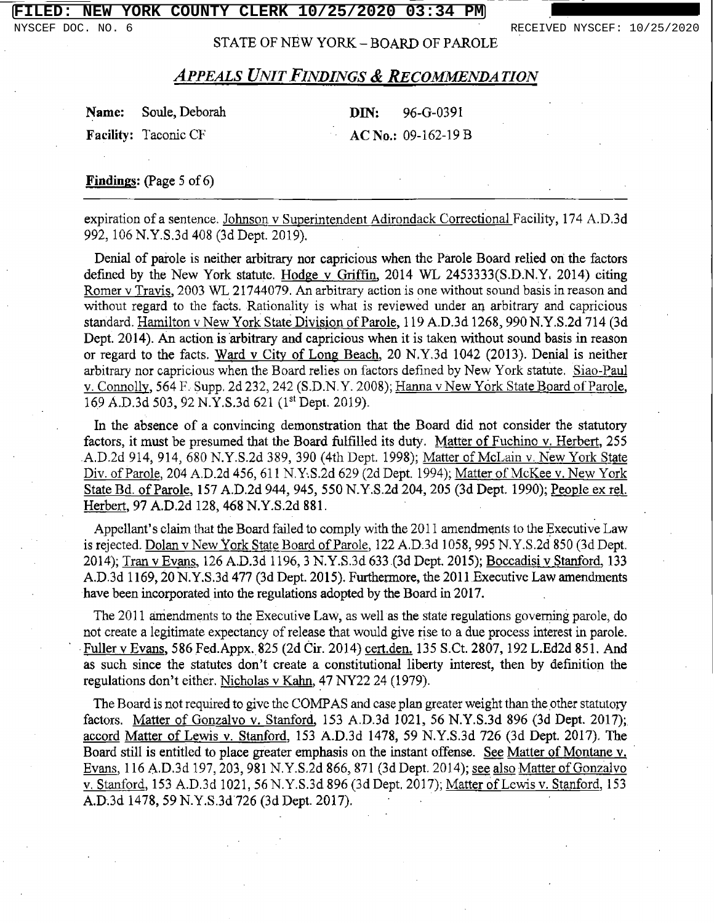NYSCEF DOC. NO. 6 **RECEIVED NYSCEF: 10/25/2020** 

STATE OF NEW YORK - BOARD OF PAROLE

Name: Soule, Deborah DIN: 96-G-0391 Facility: Taconic CF  $\qquad \qquad \text{AC No.: } 09-162-19 \text{ B}$ 

Findings: (Page 5 of 6)

expiration of a sentence. Johnson v Superintendent Adirondack Correctional Facility, 174 A.D.3d 992, 106 N.Y.S.3d 408 (3d Dept. 2019).

Denial of parole is neither arbitrary nor capricious when the Parole Board relied ori the factors defined by the New York statute. Hodge v Griffin, <sup>2014</sup> WL 2453333(S.D.N.Y. 2014) citing Romer v Travis, <sup>2003</sup> WL 21744079. An arbitrary action is one without sound basis in reason and without regard to the facts. Rationality is what is reviewed under an arbitrary and capricious standard. Hamilton v New York State Division of Parole, 119 A.D.3d 1268, 990 N.Y.S.2d 714 (3d Dept. 2014). An action is arbitrary and capricious when it is taken without sound basis in reason or regard to the facts. Ward v City of Long Beach, 20 N.Y.3d 1042 (2013). Denial is neither arbitrary nor capricious when the Board relies on factors defined by New York statute. Siao-Paul v. Connolly, 564 F. Supp. 2d 232, 242 (S.D.N.Y. 2008); Hanna v New York State Board of Parole, 169 A.D.3d 503, 92 N.Y.S.3d 621 (1<sup>st</sup> Dept. 2019).

In the absence of a convincing demonstration that the Board did not consider the statutory factors, it must be presumed that the Board fulfilled its duty. Matter of Fuchino v. Herbert, 255 A.D.2d 914, 914, 680 N.Y.S.2d 389, 390 (4th Dept. 1998); Matter of McLain v. New York State Div. of Parole, 204 A.D.2d 456, 611 N.Y.S.2d 629 (2d Dept. 1994); Matter of McKee v. New York State Bd. of Parole, 157 A.D.2d 944, 945, 550 N.Y.S.2d 204, 205 (3d Dept. 1990); People ex rel. Herbert, 97 A.D.2d 128, 468 N.Y.S.2d 881.

Appellant's claim that the Board failed to comply with the 2011 amendments to the Executive Law is rejected. Dolan v New York State Board of Parole, 122 A.D.3d 1058, 995 N.Y.S.2d 850 (3d Dept. 2014); Tran v Evans, 126 A.D.3d 1196, 3 N.Y.S.3d 633.(3d Dept. 2015); Boccadisi v Stanford, 133 A.D.3d 1169, 20 N.Y.S.3d 477 (3d Dept. 2015). Furthermore, the 2011 Executive Law amendments have been incorporated into the regulations adopted by the Board in 2017.

The 2011 amendments to the Executive Law, as well as the state regulations governing parole, do not create a legitimate expectancy of release that would give rise to a due process interest in parole. Fuller v Evans, 586 Fed.Appx. 825 (2d Cir. 2014) cert.den. 135 S.Ct. 2807, 192 L.Ed2d 851. And as such since the statutes don't create a constitutional liberty interest, then by definition the regulations don't either. Nicholas v Kahn, 47 NY22 24 (1979).

The Board is not required to give the COMPAS and case plan greater weight than the other statutory factors. Matter of Gonzalvo v. Stanford, 153 A.D.3d 1021, 56 N.Y.S.3d 896 (3d Dept. 2017); accord Matter of Lewis v. Stanford, 153 A.D.3d 1478, 59 N.Y.S.3d 726 (3d Dept. 2017). The Board still is entitled to place greater emphasis on the instant offense. See Matter of Montane v. Evans, 116 A.D.3d 197, 203, 981 N.Y.S.2d 866, 871 (3d Dept. 2014); see also Matter of Gonzalvo v. Stanford, 153 A.D.3d 1021, 56 N.Y.S.3d 896 (3d Dept. 2017); Matter of Lewis v. Stanford, 153 A.D.3d 1478, 59 N.Y.S.3d 726 (3d Dept. 2017).